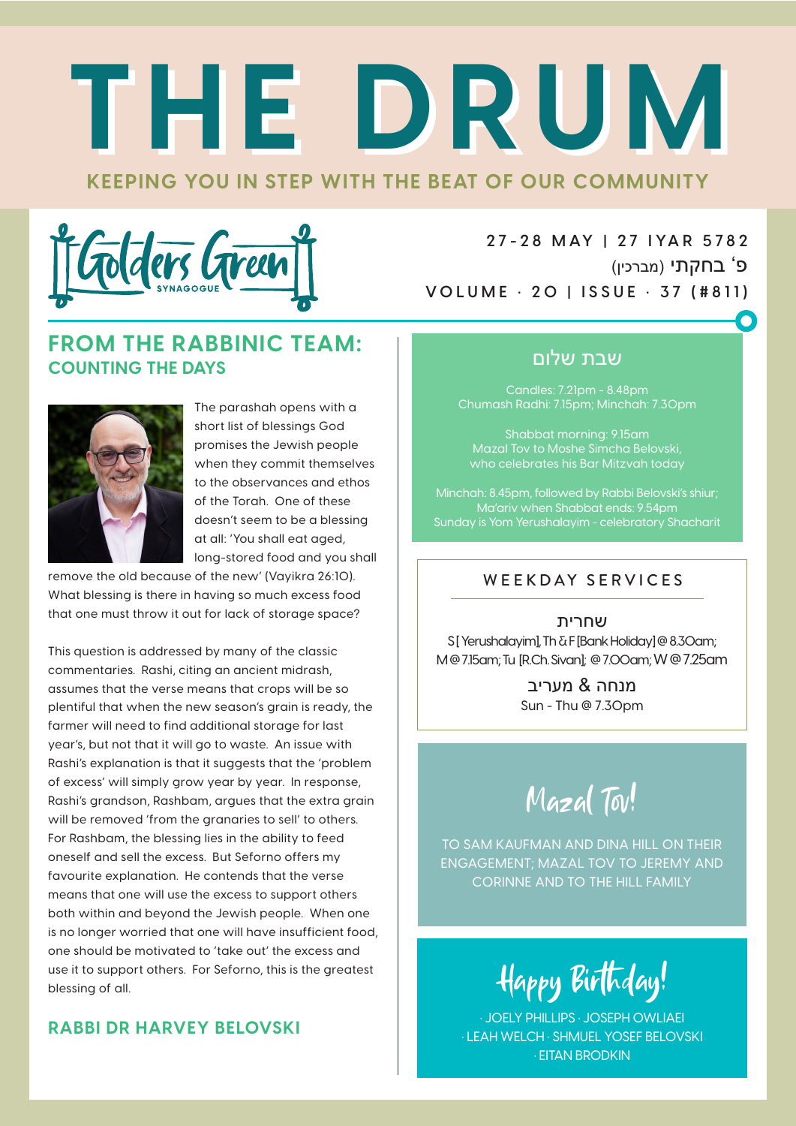# **KEEPING YOU IN STEP WITH THE BEAT OF OUR COMMUNITY THE DRUM THE DRUM**



**2 7 - 2 8 M AY | 2 7 I YA R 5 78 2** פ' בחקתי (מברכין) **VOLUME • 20 | ISSUE • 37 (#811)**

#### **FROM THE RABBINIC TEAM: COUNTING THE DAYS**



The parashah opens with a short list of blessings God promises the Jewish people when they commit themselves to the observances and ethos of the Torah. One of these doesn't seem to be a blessing at all: 'You shall eat aged, long-stored food and you shall

remove the old because of the new' (Vayikra 26:10). What blessing is there in having so much excess food that one must throw it out for lack of storage space?

This question is addressed by many of the classic commentaries. Rashi, citing an ancient midrash, assumes that the verse means that crops will be so plentiful that when the new season's grain is ready, the farmer will need to find additional storage for last year's, but not that it will go to waste. An issue with Rashi's explanation is that it suggests that the 'problem of excess' will simply grow year by year. In response, Rashi's grandson, Rashbam, argues that the extra grain will be removed 'from the granaries to sell' to others. For Rashbam, the blessing lies in the ability to feed oneself and sell the excess. But Seforno offers my favourite explanation. He contends that the verse means that one will use the excess to support others both within and beyond the Jewish people. When one is no longer worried that one will have insufficient food, one should be motivated to 'take out' the excess and use it to support others. For Seforno, this is the greatest blessing of all.

#### **RABBI DR HARVEY BELOVSKI**

#### שבת שלום

Candles: 7.21pm - 8.48pm Chumash Radhi: 7.15pm; Minchah: 7.30pm

Shabbat morning: 9.15am Mazal Tov to Moshe Simcha Belovski, who celebrates his Bar Mitzvah today

Minchah: 8.45pm, followed by Rabbi Belovski's shiur; Ma'ariv when Shabbat ends: 9.54pm Sunday is Yom Yerushalayim - celebratory Shacharit

#### WEEKDAY SERVICES

שחרית S [ Yerushalayim], Th & F [Bank Holiday] @ 8.30am; M @ 7.15am; Tu [R.Ch. Sivan]; @ 7.00am; W @ 7.25am

> מנחה & מעריב Sun - Thu @ 7.30pm

Mazal Tov!

TO SAM KAUFMAN AND DINA HILL ON THEIR ENGAGEMENT; MAZAL TOV TO JEREMY AND CORINNE AND TO THE HILL FAMILY

Happy Birthday!

• JOELY PHILLIPS • JOSEPH OWLIAEI • LEAH WELCH • SHMUEL YOSEF BELOVSKI • EITAN BRODKIN